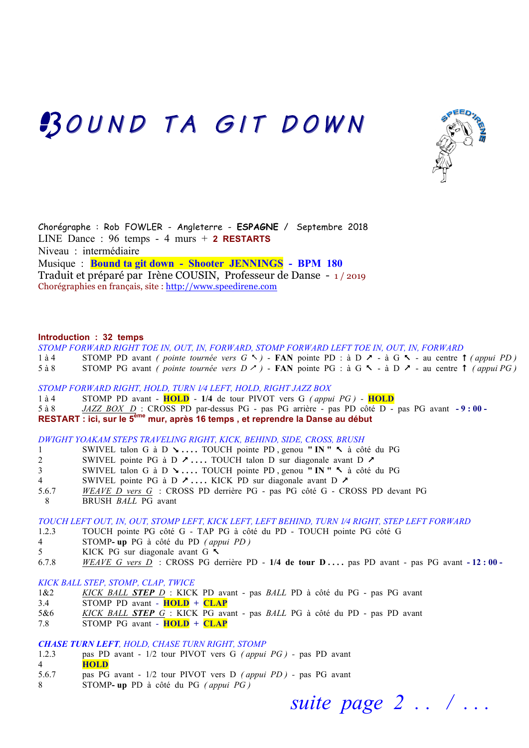# BOUND TA GIT DOWN



Chorégraphe : Rob FOWLER - Angleterre - **ESPAGNE** / Septembre 2018 LINE Dance : 96 temps - 4 murs + **2 RESTARTS** Niveau : intermédiaire Musique : **Bound ta git down - Shooter JENNINGS - BPM 180** Traduit et préparé par Irène COUSIN, Professeur de Danse - 1 / 2019 Chorégraphies en français, site : http://www.speedirene.com

## **Introduction : 32 temps**

*STOMP FORWARD RIGHT TOE IN, OUT, IN, FORWARD, STOMP FORWARD LEFT TOE IN, OUT, IN, FORWARD*

- 1 à 4 STOMP PD avant *( pointe tournée vers G*  $\sim$  ) **FAN** pointe PD : à D  $\sim$  à G  $\sim$  au centre  $\uparrow$  *( appui PD )*
- 5 à 8 STOMP PG avant *( pointe tournée vers D*  $\neq$  *)* **FAN** pointe PG : à G  $\leq$  à D  $\geq$  au centre  $\uparrow$  *( appui PG )*

*STOMP FORWARD RIGHT, HOLD, TURN 1⁄4 LEFT, HOLD, RIGHT JAZZ BOX*

1 à 4 STOMP PD avant - **HOLD** - **1/4** de tour PIVOT vers G *( appui PG ) -* **HOLD**  5 à 8 *JAZZ BOX D* : CROSS PD par-dessus PG - pas PG arrière - pas PD côté D - pas PG avant **- 9 : 00 - RESTART : ici, sur le 5ème mur, après 16 temps , et reprendre la Danse au début**

*DWIGHT YOAKAM STEPS TRAVELING RIGHT, KICK, BEHIND, SIDE, CROSS, BRUSH*

- 1 SWIVEL talon G à D ( **. . . .** TOUCH pointe PD , genou **" IN "** %à côté du PG
- 2 SWIVEL pointe PG à D  $\lambda$  ... TOUCH talon D sur diagonale avant D  $\lambda$
- 3 SWIVEL talon G à D ( **. . . .** TOUCH pointe PD , genou **" IN "** %à côté du PG
- 4 SWIVEL pointe PG à D & **. . . .** KICK PD sur diagonale avant D &
- 5.6.7 *WEAVE D vers G* : CROSS PD derrière PG pas PG côté G CROSS PD devant PG
- 8 BRUSH *BALL* PG avant

*TOUCH LEFT OUT, IN, OUT, STOMP LEFT, KICK LEFT, LEFT BEHIND, TURN 1⁄4 RIGHT, STEP LEFT FORWARD*

- 1.2.3 TOUCH pointe PG côté G TAP PG à côté du PD TOUCH pointe PG côté G
- 4 STOMP**- up** PG à côté du PD *( appui PD )*
- 5 KICK PG sur diagonale avant G %
- 6.7.8 *WEAVE G vers D* : CROSS PG derrière PD **1/4 de tour D . . . .** pas PD avant pas PG avant **- 12 : 00**

### *KICK BALL STEP, STOMP, CLAP, TWICE*

- 1&2 *KICK BALL STEP D* : KICK PD avant pas *BALL* PD à côté du PG pas PG avant
- 3.4 STOMP PD avant - **HOLD + CLAP**
- 5&6 *KICK BALL STEP G* : KICK PG avant pas *BALL* PG à côté du PD pas PD avant
- 7.8 STOMP PG avant - **HOLD + CLAP**

#### *CHASE TURN LEFT, HOLD, CHASE TURN RIGHT, STOMP*

- 1.2.3 pas PD avant 1/2 tour PIVOT vers G *( appui PG )* pas PD avant
- 4 **HOLD**
- 5.6.7 pas PG avant 1/2 tour PIVOT vers D *( appui PD )* pas PG avant
- 8 STOMP**- up** PD à côté du PG *( appui PG )*

 *suite page 2 . . / . . .*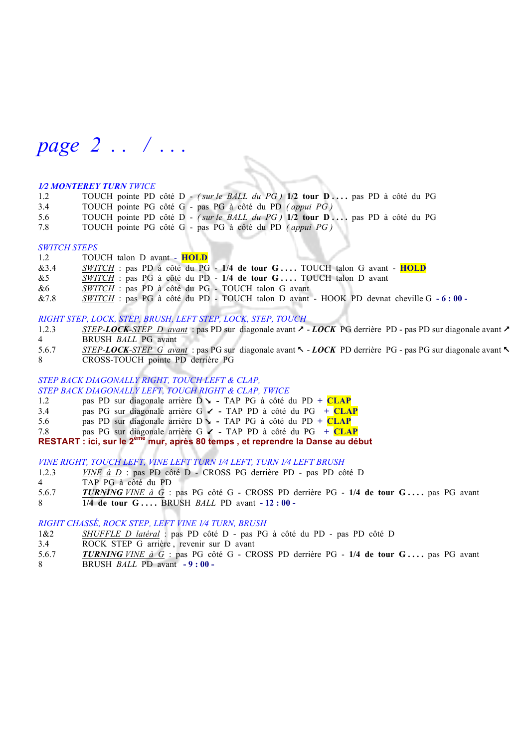*page 2 . . / . . .*

#### *1⁄2 MONTEREY TURN TWICE*

- 1.2 TOUCH pointe PD côté D *( sur le BALL du PG )* **1/2 tour D . . . .** pas PD à côté du PG
- 3.4 TOUCH pointe PG côté G pas PG à côté du PD *( appui PG )*
- 5.6 TOUCH pointe PD côté D *( sur le BALL du PG )* **1/2 tour D . . . .** pas PD à côté du PG
- 7.8 TOUCH pointe PG côté G pas PG à côté du PD *( appui PG )*

#### *SWITCH STEPS*

1.2 TOUCH talon D avant - **HOLD** 

- &3.4 *SWITCH* : pas PD à côté du PG **1/4 de tour G . . . .** TOUCH talon G avant **HOLD**
- &5 *SWITCH* : pas PG à côté du PD **1/4 de tour G . . . .** TOUCH talon D avant
- &6 *SWITCH* : pas PD à côté du PG TOUCH talon G avant
- &7.8 *SWITCH* : pas PG à côté du PD TOUCH talon D avant HOOK PD devnat cheville G **- 6 : 00**

#### *RIGHT STEP, LOCK, STEP, BRUSH, LEFT STEP, LOCK, STEP, TOUCH*

- 1.2.3 *STEP-LOCK-STEP D avant* : pas PD sur diagonale avant & *LOCK* PG derrière PD pas PD sur diagonale avant & 4 BRUSH *BALL* PG avant
- 5.6.7 *STEP-LOCK-STEP G avant* : pas PG sur diagonale avant % *LOCK* PD derrière PG pas PG sur diagonale avant % 8 CROSS-TOUCH pointe PD derrière PG

#### *STEP BACK DIAGONALLY RIGHT, TOUCH LEFT & CLAP, STEP BACK DIAGONALLY LEFT, TOUCH RIGHT & CLAP, TWICE*

- 1.2 pas PD sur diagonale arrière D  $\rightarrow$  TAP PG à côté du PD + **CLAP**
- 3.4 pas PG sur diagonale arrière G  $\epsilon$  TAP PD à côté du PG + CLAP
- 5.6 pas PD sur diagonale arrière  $D \rightarrow -TAP$  PG à côté du PD + **CLAP**
- 7.8 pas PG sur diagonale arrière G **∠** TAP PD à côté du PG + **CLAP**

## **RESTART : ici, sur le 2ème mur, après 80 temps , et reprendre la Danse au début**

#### *VINE RIGHT, TOUCH LEFT, VINE LEFT TURN 1⁄4 LEFT, TURN 1⁄4 LEFT BRUSH*

- 1.2.3 *VINE à D* : pas PD côté D CROSS PG derrière PD pas PD côté D
- 4 TAP PG à côté du PD
- 5.6.7 *TURNING VINE à G* : pas PG côté G CROSS PD derrière PG **1/4 de tour G . . . .** pas PG avant
- 8 **1/4 de tour G . . . .** BRUSH *BALL* PD avant **- 12 : 00**

#### *RIGHT CHASSÉ, ROCK STEP, LEFT VINE 1⁄4 TURN, BRUSH*

- 1&2 *SHUFFLE D latéral* : pas PD côté D pas PG à côté du PD pas PD côté D
- 3.4 ROCK STEP G arrière , revenir sur D avant
- 5.6.7 *TURNING VINE à G* : pas PG côté G CROSS PD derrière PG **1/4 de tour G . . . .** pas PG avant 8 BRUSH *BALL* PD avant **- 9 : 00 -**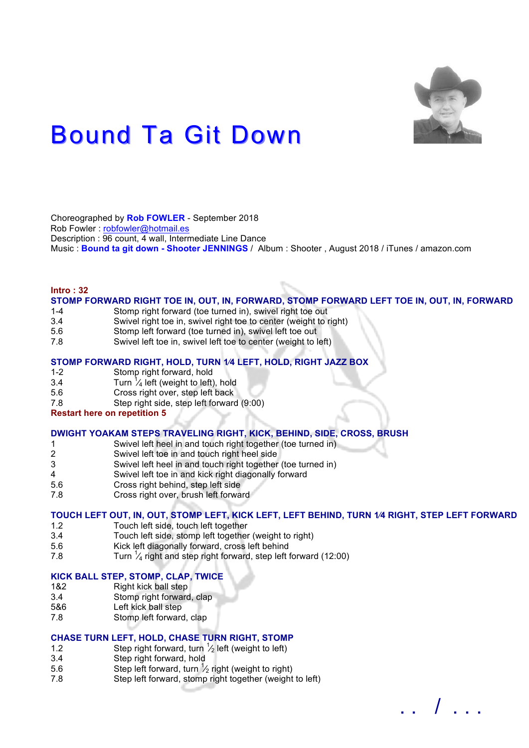

# **Bound Ta Git Down**

Choreographed by **Rob FOWLER** - September 2018 Rob Fowler : robfowler@hotmail.es Description : 96 count, 4 wall, Intermediate Line Dance Music : **Bound ta git down - Shooter JENNINGS** / Album : Shooter , August 2018 / iTunes / amazon.com

#### **Intro : 32**

# **STOMP FORWARD RIGHT TOE IN, OUT, IN, FORWARD, STOMP FORWARD LEFT TOE IN, OUT, IN, FORWARD**

- 1-4 Stomp right forward (toe turned in), swivel right toe out
- 3.4 Swivel right toe in, swivel right toe to center (weight to right)
- 5.6 Stomp left forward (toe turned in), swivel left toe out
- 7.8 Swivel left toe in, swivel left toe to center (weight to left)

## **STOMP FORWARD RIGHT, HOLD, TURN 1⁄4 LEFT, HOLD, RIGHT JAZZ BOX**

- 1-2 Stomp right forward, hold
- 3.4 Turn  $\frac{1}{4}$  left (weight to left), hold
- 5.6 Cross right over, step left back
- 7.8 Step right side, step left forward (9:00)

## **Restart here on repetition 5**

## **DWIGHT YOAKAM STEPS TRAVELING RIGHT, KICK, BEHIND, SIDE, CROSS, BRUSH**

- 1 Swivel left heel in and touch right together (toe turned in)
- 2 Swivel left toe in and touch right heel side
- 3 Swivel left heel in and touch right together (toe turned in)
- 4 Swivel left toe in and kick right diagonally forward
- 5.6 Cross right behind, step left side
- 7.8 Cross right over, brush left forward

# **TOUCH LEFT OUT, IN, OUT, STOMP LEFT, KICK LEFT, LEFT BEHIND, TURN 1⁄4 RIGHT, STEP LEFT FORWARD**

. . / . . .

- 1.2 Touch left side, touch left together
- 3.4 Touch left side, stomp left together (weight to right)
- 5.6 Kick left diagonally forward, cross left behind
- 7.8 Turn  $\frac{1}{4}$  right and step right forward, step left forward (12:00)

#### **KICK BALL STEP, STOMP, CLAP, TWICE**

- 1&2 Right kick ball step<br>3.4 Stomp right forward
- 3.4 Stomp right forward, clap<br>5&6 Left kick ball step
- Left kick ball step
- 7.8 Stomp left forward, clap

#### **CHASE TURN LEFT, HOLD, CHASE TURN RIGHT, STOMP**

- 1.2 Step right forward, turn  $\frac{1}{2}$  left (weight to left)
- 3.4 Step right forward, hold
- 5.6 Step left forward, turn  $\frac{1}{2}$  right (weight to right)
- 7.8 Step left forward, stomp right together (weight to left)